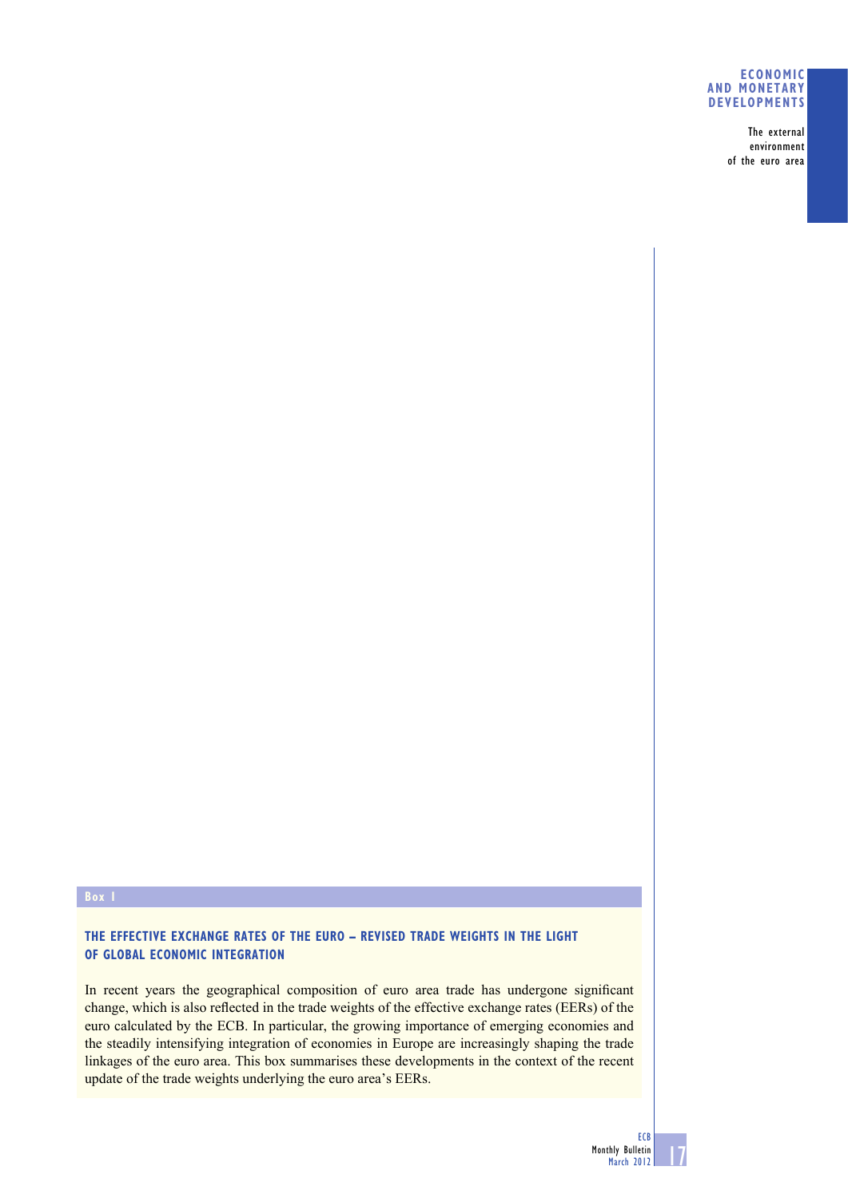## **ECONOMIC AND MONETARY DEVELOPMENTS**

The external environment of the euro area

**THE EFFECTIVE EXCHANGE RATES OF THE EURO – REVISED TRADE WEIGHTS IN THE LIGHT OF GLOBAL ECONOMIC INTEGRATION**

In recent years the geographical composition of euro area trade has undergone significant change, which is also reflected in the trade weights of the effective exchange rates (EERs) of the euro calculated by the ECB. In particular, the growing importance of emerging economies and the steadily intensifying integration of economies in Europe are increasingly shaping the trade linkages of the euro area. This box summarises these developments in the context of the recent update of the trade weights underlying the euro area's EERs.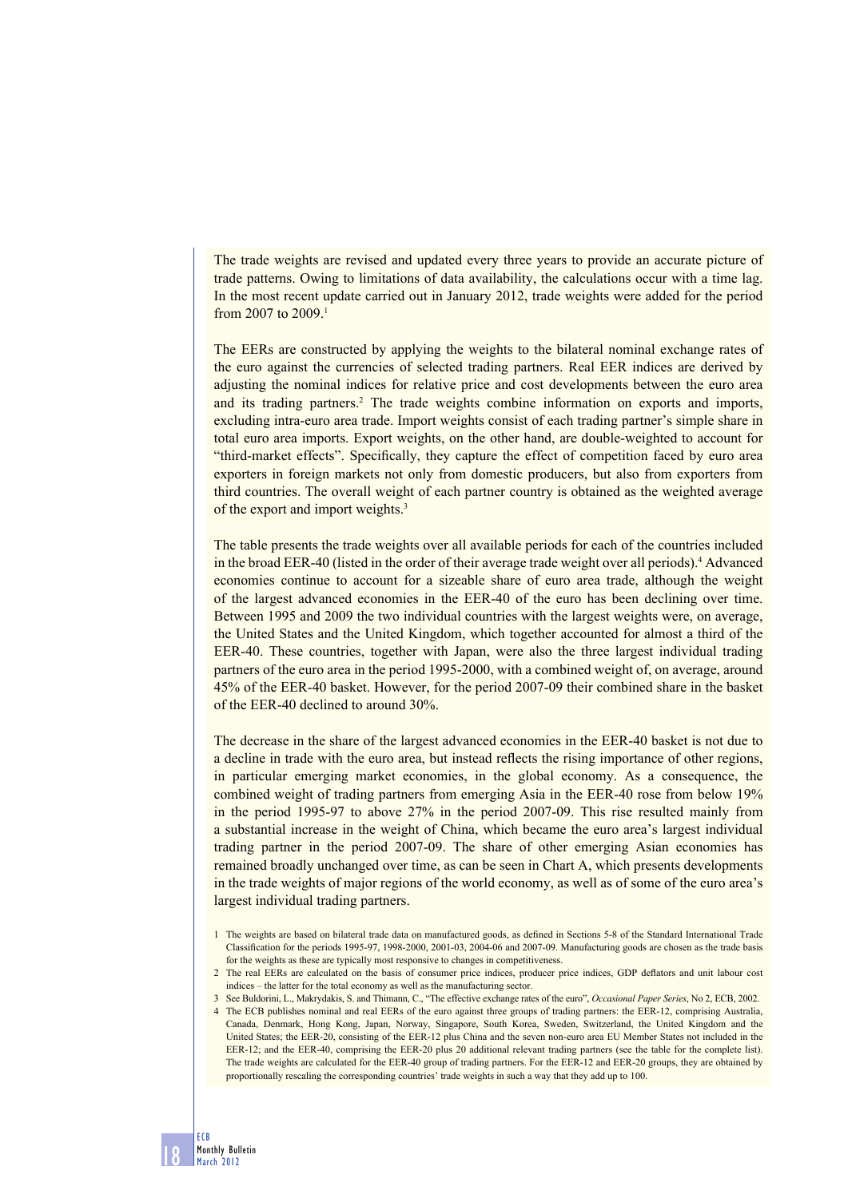The trade weights are revised and updated every three years to provide an accurate picture of trade patterns. Owing to limitations of data availability, the calculations occur with a time lag. In the most recent update carried out in January 2012, trade weights were added for the period from 2007 to 2009<sup>1</sup>

The EERs are constructed by applying the weights to the bilateral nominal exchange rates of the euro against the currencies of selected trading partners. Real EER indices are derived by adjusting the nominal indices for relative price and cost developments between the euro area and its trading partners.<sup>2</sup> The trade weights combine information on exports and imports, excluding intra-euro area trade. Import weights consist of each trading partner's simple share in total euro area imports. Export weights, on the other hand, are double-weighted to account for "third-market effects". Specifically, they capture the effect of competition faced by euro area exporters in foreign markets not only from domestic producers, but also from exporters from third countries. The overall weight of each partner country is obtained as the weighted average of the export and import weights.3

The table presents the trade weights over all available periods for each of the countries included in the broad EER-40 (listed in the order of their average trade weight over all periods).<sup>4</sup> Advanced economies continue to account for a sizeable share of euro area trade, although the weight of the largest advanced economies in the EER-40 of the euro has been declining over time. Between 1995 and 2009 the two individual countries with the largest weights were, on average, the United States and the United Kingdom, which together accounted for almost a third of the EER-40. These countries, together with Japan, were also the three largest individual trading partners of the euro area in the period 1995-2000, with a combined weight of, on average, around 45% of the EER-40 basket. However, for the period 2007-09 their combined share in the basket of the EER-40 declined to around 30%.

The decrease in the share of the largest advanced economies in the EER-40 basket is not due to a decline in trade with the euro area, but instead reflects the rising importance of other regions, in particular emerging market economies, in the global economy. As a consequence, the combined weight of trading partners from emerging Asia in the EER-40 rose from below 19% in the period 1995-97 to above 27% in the period 2007-09. This rise resulted mainly from a substantial increase in the weight of China, which became the euro area's largest individual trading partner in the period 2007-09. The share of other emerging Asian economies has remained broadly unchanged over time, as can be seen in Chart A, which presents developments in the trade weights of major regions of the world economy, as well as of some of the euro area's largest individual trading partners.

ECB

<sup>1</sup> The weights are based on bilateral trade data on manufactured goods, as defined in Sections 5-8 of the Standard International Trade Classification for the periods 1995-97, 1998-2000, 2001-03, 2004-06 and 2007-09. Manufacturing goods are chosen as the trade basis for the weights as these are typically most responsive to changes in competitiveness.

<sup>2</sup> The real EERs are calculated on the basis of consumer price indices, producer price indices, GDP deflators and unit labour cost indices – the latter for the total economy as well as the manufacturing sector.

<sup>3</sup> See Buldorini, L., Makrydakis, S. and Thimann, C., "The effective exchange rates of the euro", *Occasional Paper Series*, No 2, ECB, 2002.

<sup>4</sup> The ECB publishes nominal and real EERs of the euro against three groups of trading partners: the EER-12, comprising Australia, Canada, Denmark, Hong Kong, Japan, Norway, Singapore, South Korea, Sweden, Switzerland, the United Kingdom and the United States; the EER-20, consisting of the EER-12 plus China and the seven non-euro area EU Member States not included in the EER-12; and the EER-40, comprising the EER-20 plus 20 additional relevant trading partners (see the table for the complete list). The trade weights are calculated for the EER-40 group of trading partners. For the EER-12 and EER-20 groups, they are obtained by proportionally rescaling the corresponding countries' trade weights in such a way that they add up to 100.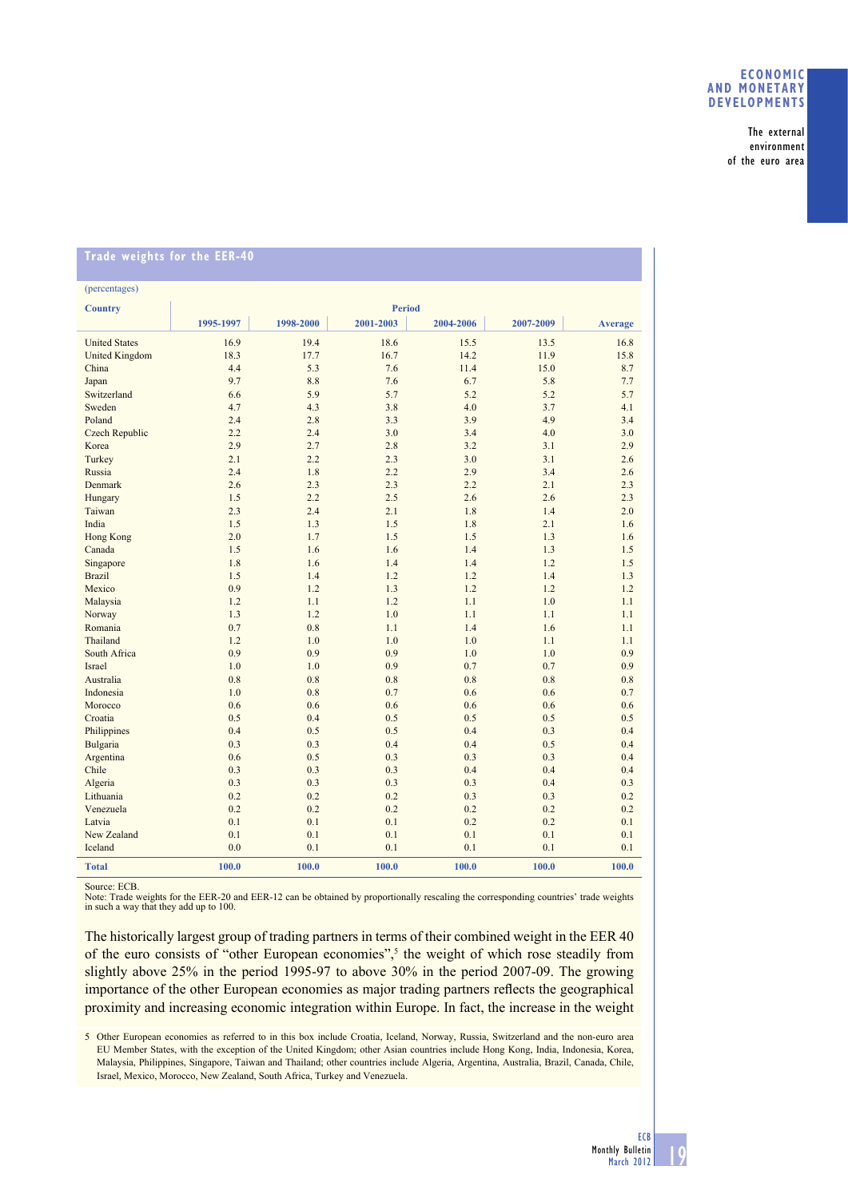# **ECONOMIC AND MONETARY DEVELOPMENTS**

The external environment of the euro area

| <b>Irade weights for the EEK-40</b> |            |               |            |            |            |                |  |
|-------------------------------------|------------|---------------|------------|------------|------------|----------------|--|
| (percentages)                       |            |               |            |            |            |                |  |
|                                     |            |               |            |            |            |                |  |
| <b>Country</b>                      |            | <b>Period</b> |            |            |            |                |  |
|                                     | 1995-1997  | 1998-2000     | 2001-2003  | 2004-2006  | 2007-2009  | <b>Average</b> |  |
| <b>United States</b>                | 16.9       | 19.4          | 18.6       | 15.5       | 13.5       | 16.8           |  |
| <b>United Kingdom</b>               | 18.3       | 17.7          | 16.7       | 14.2       | 11.9       | 15.8           |  |
| China                               | 4.4        | 5.3           | 7.6        | 11.4       | 15.0       | 8.7            |  |
| Japan                               | 9.7        | 8.8           | 7.6        | 6.7        | 5.8        | 7.7            |  |
| Switzerland                         | 6.6        | 5.9           | 5.7        | 5.2        | 5.2        | 5.7            |  |
| Sweden                              | 4.7        | 4.3           | 3.8        | 4.0        | 3.7        | 4.1            |  |
| Poland                              | 2.4        | 2.8           | 3.3        | 3.9        | 4.9        | 3.4            |  |
| <b>Czech Republic</b>               | 2.2        | 2.4           | 3.0        | 3.4        | 4.0        | 3.0            |  |
| Korea                               | 2.9        | 2.7           | 2.8        | 3.2        | 3.1        | 2.9            |  |
| Turkey                              | 2.1        | 2.2           | 2.3        | 3.0        | 3.1        | 2.6            |  |
| Russia                              | 2.4        | 1.8           | 2.2        | 2.9        | 3.4        | 2.6            |  |
| Denmark                             | 2.6        | 2.3           | 2.3        | 2.2        | 2.1        | 2.3            |  |
| Hungary                             | 1.5        | 2.2           | 2.5        | 2.6        | 2.6        | 2.3            |  |
| Taiwan                              | 2.3        | 24            | 2.1        | 1.8        | 1.4        | 2.0            |  |
| India                               | 1.5        | 1.3           | 1.5        | 1.8        | 2.1        | 1.6            |  |
| <b>Hong Kong</b>                    | 2.0        | 1.7           | 1.5        | 1.5        | 1.3        | 1.6            |  |
| Canada                              | 1.5        | 1.6           | 1.6        | 1.4        | 1.3        | 1.5            |  |
| Singapore<br><b>Brazil</b>          | 1.8<br>1.5 | 1.6<br>1.4    | 1.4<br>1.2 | 1.4<br>1.2 | 1.2<br>1.4 | 1.5<br>1.3     |  |
| Mexico                              | 0.9        | 1.2           | 1.3        | 1.2        | 1.2        | 1.2            |  |
| Malaysia                            | 1.2        | 1.1           | 1.2        | 1.1        | 1.0        | 1.1            |  |
| Norway                              | 1.3        | 1.2           | 1.0        | 1.1        | 1.1        | 1.1            |  |
| Romania                             | 0.7        | 0.8           | 1.1        | 1.4        | 1.6        | 1.1            |  |
| Thailand                            | 1.2        | 1.0           | 1.0        | 1.0        | 1.1        | 1.1            |  |
| South Africa                        | 0.9        | 0.9           | 0.9        | 1.0        | 1.0        | 0.9            |  |
| Israel                              | 1.0        | 1.0           | 0.9        | 0.7        | 0.7        | 0.9            |  |
| Australia                           | 0.8        | 0.8           | 0.8        | 0.8        | 0.8        | 0.8            |  |
| Indonesia                           | 1.0        | 0.8           | 0.7        | 0.6        | 0.6        | 0.7            |  |
| Morocco                             | 0.6        | 0.6           | 0.6        | 0.6        | 0.6        | 0.6            |  |
| Croatia                             | 0.5        | 0.4           | 0.5        | 0.5        | 0.5        | 0.5            |  |
| Philippines                         | 0.4        | 0.5           | 0.5        | 0.4        | 0.3        | 0.4            |  |
| Bulgaria                            | 0.3        | 0.3           | 0.4        | 0.4        | 0.5        | 0.4            |  |
| Argentina                           | 0.6        | 0.5           | 0.3        | 0.3        | 0.3        | 0.4            |  |
| Chile                               | 0.3        | 0.3           | 0.3        | 0.4        | 0.4        | 0.4            |  |
| Algeria                             | 0.3        | 0.3           | 0.3        | 0.3        | 0.4        | 0.3            |  |
| Lithuania                           | 0.2        | 0.2           | 0.2        | 0.3        | 0.3        | 0.2            |  |
| Venezuela                           | 0.2        | 0.2           | 0.2        | 0.2        | 0.2        | 0.2            |  |
| Latvia                              | 0.1        | 0.1           | 0.1        | 0.2        | 0.2        | 0.1            |  |
| New Zealand                         | 0.1        | 0.1           | 0.1        | 0.1        | 0.1        | 0.1            |  |
| Iceland                             | 0.0        | 0.1           | 0.1        | 0.1        | 0.1        | 0.1            |  |
| <b>Total</b>                        | 100.0      | 100.0         | 100.0      | 100.0      | 100.0      | 100.0          |  |

#### **Trade weights for the EER-40**

Source: ECB.

Note: Trade weights for the EER-20 and EER-12 can be obtained by proportionally rescaling the corresponding countries' trade weights in such a way that they add up to 100.

The historically largest group of trading partners in terms of their combined weight in the EER 40 of the euro consists of "other European economies",<sup>5</sup> the weight of which rose steadily from slightly above 25% in the period 1995-97 to above 30% in the period 2007-09. The growing importance of the other European economies as major trading partners reflects the geographical proximity and increasing economic integration within Europe. In fact, the increase in the weight

5 Other European economies as referred to in this box include Croatia, Iceland, Norway, Russia, Switzerland and the non-euro area EU Member States, with the exception of the United Kingdom; other Asian countries include Hong Kong, India, Indonesia, Korea, Malaysia, Philippines, Singapore, Taiwan and Thailand; other countries include Algeria, Argentina, Australia, Brazil, Canada, Chile, Israel, Mexico, Morocco, New Zealand, South Africa, Turkey and Venezuela.

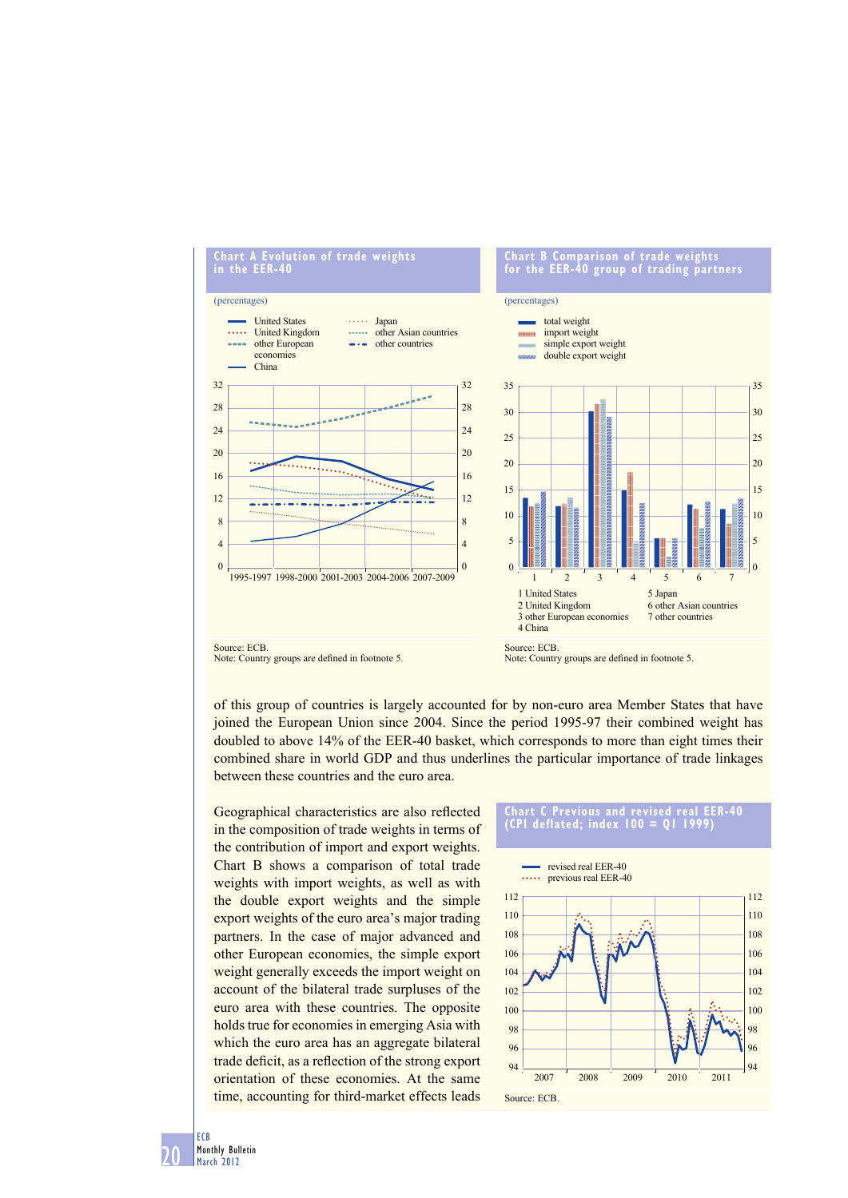

of this group of countries is largely accounted for by non-euro area Member States that have joined the European Union since 2004. Since the period 1995-97 their combined weight has doubled to above 14% of the EER-40 basket, which corresponds to more than eight times their combined share in world GDP and thus underlines the particular importance of trade linkages between these countries and the euro area.

Geographical characteristics are also reflected in the composition of trade weights in terms of the contribution of import and export weights. Chart B shows a comparison of total trade weights with import weights, as well as with the double export weights and the simple export weights of the euro area's major trading partners. In the case of major advanced and other European economies, the simple export weight generally exceeds the import weight on account of the bilateral trade surpluses of the euro area with these countries. The opposite holds true for economies in emerging Asia with which the euro area has an aggregate bilateral trade deficit, as a reflection of the strong export orientation of these economies. At the same time, accounting for third-market effects leads



20 ECB Monthly Bulletin March 2012